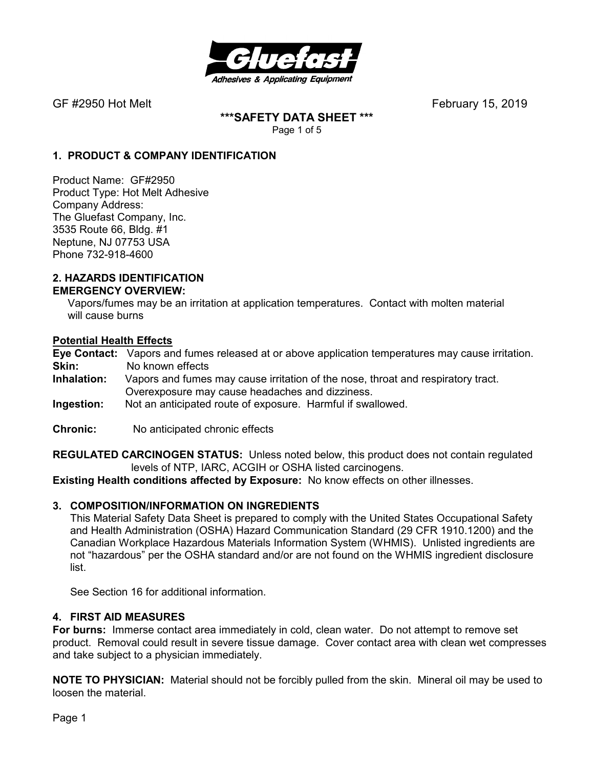

**\*\*\*SAFETY DATA SHEET \*\*\***  Page 1 of 5

### **1. PRODUCT & COMPANY IDENTIFICATION**

Product Name: GF#2950 Product Type: Hot Melt Adhesive Company Address: The Gluefast Company, Inc. 3535 Route 66, Bldg. #1 Neptune, NJ 07753 USA Phone 732-918-4600

#### **2. HAZARDS IDENTIFICATION EMERGENCY OVERVIEW:**

 Vapors/fumes may be an irritation at application temperatures. Contact with molten material will cause burns

#### **Potential Health Effects**

**Eye Contact:** Vapors and fumes released at or above application temperatures may cause irritation. **Skin:** No known effects<br>**Inhalation:** Vapors and fumes

- Vapors and fumes may cause irritation of the nose, throat and respiratory tract. Overexposure may cause headaches and dizziness.
- **Ingestion:** Not an anticipated route of exposure. Harmful if swallowed.
- **Chronic:** No anticipated chronic effects

**REGULATED CARCINOGEN STATUS:** Unless noted below, this product does not contain regulated levels of NTP, IARC, ACGIH or OSHA listed carcinogens.

**Existing Health conditions affected by Exposure:** No know effects on other illnesses.

#### **3. COMPOSITION/INFORMATION ON INGREDIENTS**

This Material Safety Data Sheet is prepared to comply with the United States Occupational Safety and Health Administration (OSHA) Hazard Communication Standard (29 CFR 1910.1200) and the Canadian Workplace Hazardous Materials Information System (WHMIS). Unlisted ingredients are not "hazardous" per the OSHA standard and/or are not found on the WHMIS ingredient disclosure list.

See Section 16 for additional information.

#### **4. FIRST AID MEASURES**

**For burns:** Immerse contact area immediately in cold, clean water. Do not attempt to remove set product. Removal could result in severe tissue damage. Cover contact area with clean wet compresses and take subject to a physician immediately.

**NOTE TO PHYSICIAN:** Material should not be forcibly pulled from the skin. Mineral oil may be used to loosen the material.

Page 1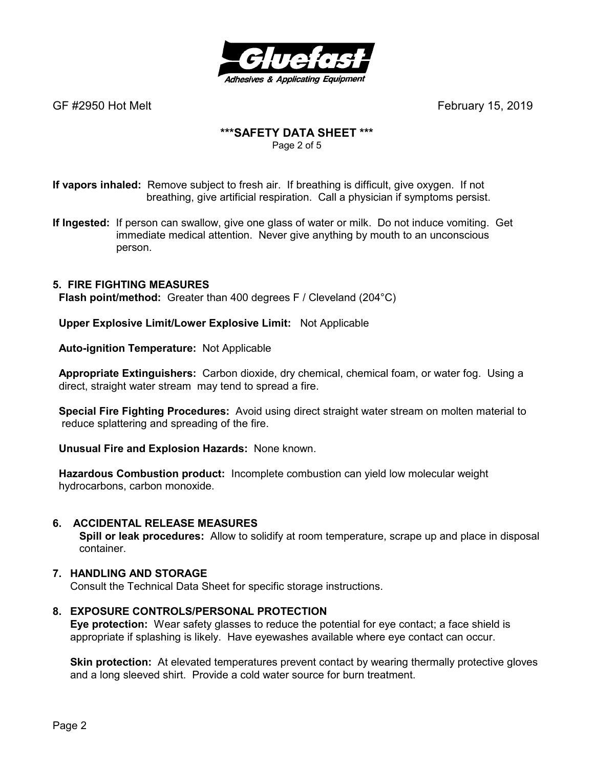

# **\*\*\*SAFETY DATA SHEET \*\*\***

Page 2 of 5

**If vapors inhaled:** Remove subject to fresh air. If breathing is difficult, give oxygen. If not breathing, give artificial respiration. Call a physician if symptoms persist.

**If Ingested:** If person can swallow, give one glass of water or milk. Do not induce vomiting. Get immediate medical attention. Never give anything by mouth to an unconscious person.

## **5. FIRE FIGHTING MEASURES**

 **Flash point/method:** Greater than 400 degrees F / Cleveland (204°C)

 **Upper Explosive Limit/Lower Explosive Limit:** Not Applicable

 **Auto-ignition Temperature:** Not Applicable

 **Appropriate Extinguishers:** Carbon dioxide, dry chemical, chemical foam, or water fog. Using a direct, straight water stream may tend to spread a fire.

 **Special Fire Fighting Procedures:** Avoid using direct straight water stream on molten material to reduce splattering and spreading of the fire.

 **Unusual Fire and Explosion Hazards:** None known.

 **Hazardous Combustion product:** Incomplete combustion can yield low molecular weight hydrocarbons, carbon monoxide.

#### **6. ACCIDENTAL RELEASE MEASURES**

 **Spill or leak procedures:** Allow to solidify at room temperature, scrape up and place in disposal container.

#### **7. HANDLING AND STORAGE**

Consult the Technical Data Sheet for specific storage instructions.

#### **8. EXPOSURE CONTROLS/PERSONAL PROTECTION**

**Eye protection:** Wear safety glasses to reduce the potential for eye contact; a face shield is appropriate if splashing is likely. Have eyewashes available where eye contact can occur.

**Skin protection:** At elevated temperatures prevent contact by wearing thermally protective gloves and a long sleeved shirt. Provide a cold water source for burn treatment.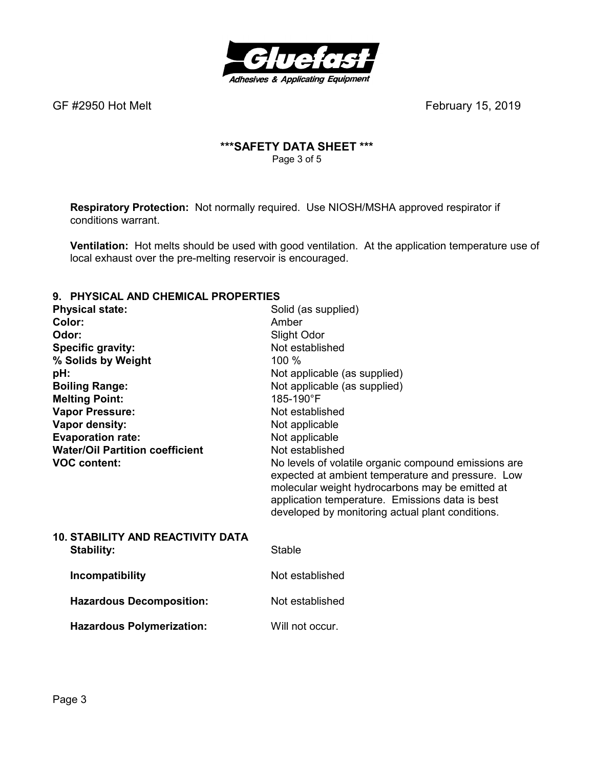

## **\*\*\*SAFETY DATA SHEET \*\*\***  Page 3 of 5

**Respiratory Protection:** Not normally required.Use NIOSH/MSHA approved respirator if conditions warrant.

**Ventilation:** Hot melts should be used with good ventilation. At the application temperature use of local exhaust over the pre-melting reservoir is encouraged.

#### **9. PHYSICAL AND CHEMICAL PROPERTIES**

| <b>Physical state:</b>                   | Solid (as supplied)                                                                                                                                                                                                                                                 |
|------------------------------------------|---------------------------------------------------------------------------------------------------------------------------------------------------------------------------------------------------------------------------------------------------------------------|
| Color:                                   | Amber                                                                                                                                                                                                                                                               |
| Odor:                                    | Slight Odor                                                                                                                                                                                                                                                         |
| <b>Specific gravity:</b>                 | Not established                                                                                                                                                                                                                                                     |
| % Solids by Weight                       | 100 %                                                                                                                                                                                                                                                               |
| pH:                                      | Not applicable (as supplied)                                                                                                                                                                                                                                        |
| <b>Boiling Range:</b>                    | Not applicable (as supplied)                                                                                                                                                                                                                                        |
| <b>Melting Point:</b>                    | 185-190°F                                                                                                                                                                                                                                                           |
| <b>Vapor Pressure:</b>                   | Not established                                                                                                                                                                                                                                                     |
| Vapor density:                           | Not applicable                                                                                                                                                                                                                                                      |
| <b>Evaporation rate:</b>                 | Not applicable                                                                                                                                                                                                                                                      |
| <b>Water/Oil Partition coefficient</b>   | Not established                                                                                                                                                                                                                                                     |
| <b>VOC content:</b>                      | No levels of volatile organic compound emissions are<br>expected at ambient temperature and pressure. Low<br>molecular weight hydrocarbons may be emitted at<br>application temperature. Emissions data is best<br>developed by monitoring actual plant conditions. |
| <b>10. STABILITY AND REACTIVITY DATA</b> |                                                                                                                                                                                                                                                                     |
| <b>Stability:</b>                        | <b>Stable</b>                                                                                                                                                                                                                                                       |
| Incompatibility                          | Not established                                                                                                                                                                                                                                                     |
| <b>Hazardous Decomposition:</b>          | Not established                                                                                                                                                                                                                                                     |
| <b>Hazardous Polymerization:</b>         | Will not occur.                                                                                                                                                                                                                                                     |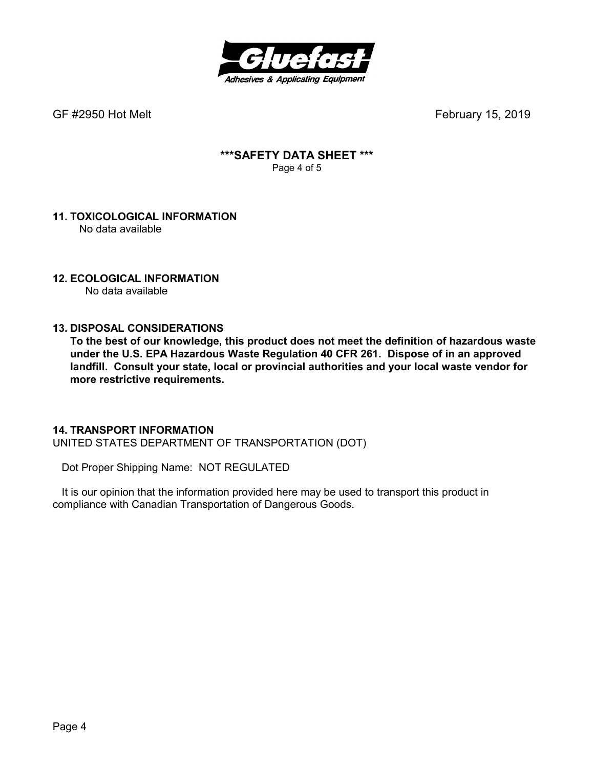

### **\*\*\*SAFETY DATA SHEET \*\*\***  Page 4 of 5

#### **11. TOXICOLOGICAL INFORMATION**  No data available

## **12. ECOLOGICAL INFORMATION**

No data available

### **13. DISPOSAL CONSIDERATIONS**

**To the best of our knowledge, this product does not meet the definition of hazardous waste under the U.S. EPA Hazardous Waste Regulation 40 CFR 261. Dispose of in an approved landfill. Consult your state, local or provincial authorities and your local waste vendor for more restrictive requirements.** 

#### **14. TRANSPORT INFORMATION**

UNITED STATES DEPARTMENT OF TRANSPORTATION (DOT)

Dot Proper Shipping Name: NOT REGULATED

 It is our opinion that the information provided here may be used to transport this product in compliance with Canadian Transportation of Dangerous Goods.